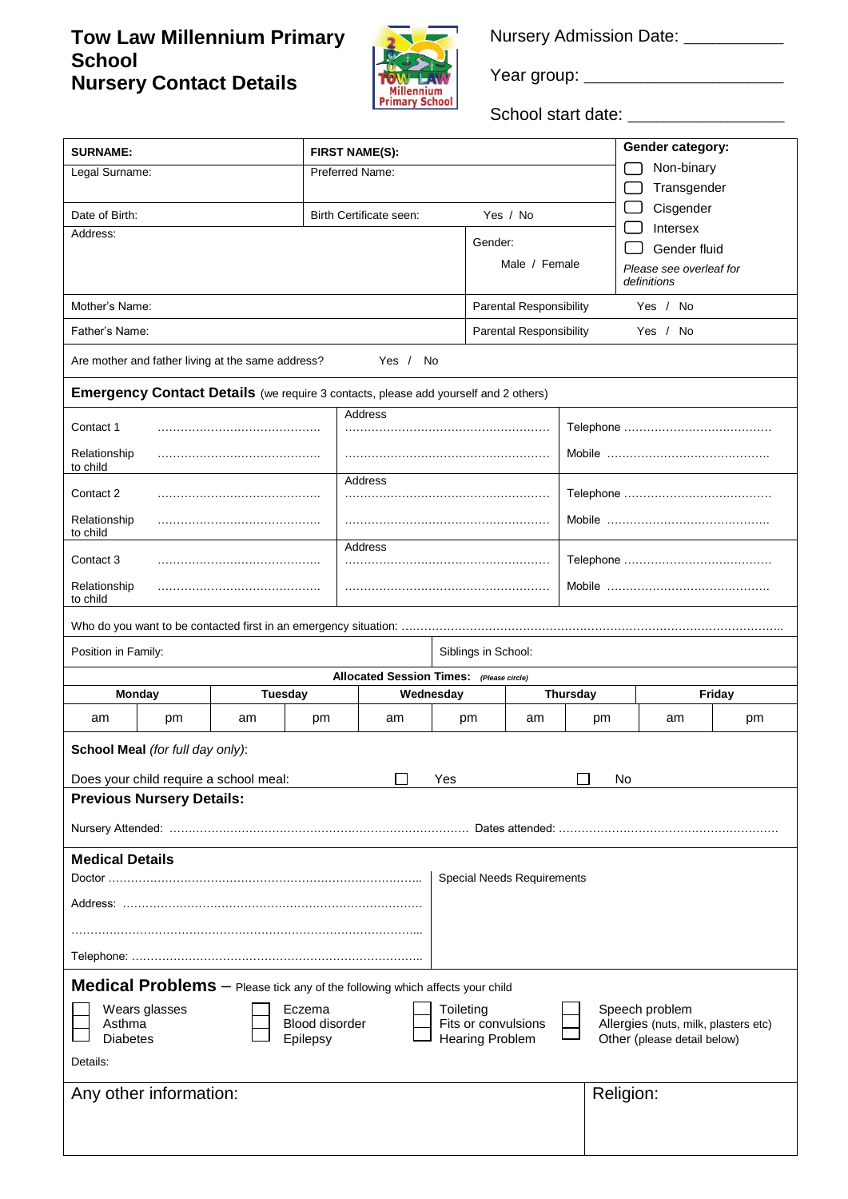# **Tow Law Millennium Primary School Nursery Contact Details**



Nursery Admission Date: \_\_\_\_\_\_\_\_\_\_\_

Year group: \_\_\_\_\_\_\_\_\_\_\_\_\_\_\_\_\_\_\_\_\_\_\_\_\_\_\_\_

School start date: \_\_\_\_\_\_\_\_\_\_\_\_\_\_\_\_\_\_\_\_\_\_

| <b>SURNAME:</b>                                                                                                                                          |                                                                                     |                                          |                        |                                            |                 | Gender category:                       |    |  |
|----------------------------------------------------------------------------------------------------------------------------------------------------------|-------------------------------------------------------------------------------------|------------------------------------------|------------------------|--------------------------------------------|-----------------|----------------------------------------|----|--|
| Legal Surname:                                                                                                                                           |                                                                                     | <b>FIRST NAME(S):</b><br>Preferred Name: |                        |                                            |                 | Non-binary                             |    |  |
|                                                                                                                                                          |                                                                                     |                                          |                        |                                            |                 | Transgender                            |    |  |
| Date of Birth:                                                                                                                                           |                                                                                     | Yes / No<br>Birth Certificate seen:      |                        |                                            |                 | Cisgender                              |    |  |
| Address:                                                                                                                                                 |                                                                                     |                                          |                        |                                            | Intersex        |                                        |    |  |
|                                                                                                                                                          |                                                                                     |                                          | Gender:                |                                            |                 | Gender fluid                           |    |  |
|                                                                                                                                                          |                                                                                     |                                          |                        | Male / Female                              |                 | Please see overleaf for<br>definitions |    |  |
|                                                                                                                                                          |                                                                                     |                                          |                        |                                            |                 |                                        |    |  |
| Mother's Name:                                                                                                                                           |                                                                                     |                                          |                        | Yes / No<br>Parental Responsibility        |                 |                                        |    |  |
| Father's Name:                                                                                                                                           |                                                                                     |                                          |                        | <b>Parental Responsibility</b><br>Yes / No |                 |                                        |    |  |
| Are mother and father living at the same address?                                                                                                        |                                                                                     | Yes / No                                 |                        |                                            |                 |                                        |    |  |
|                                                                                                                                                          | Emergency Contact Details (we require 3 contacts, please add yourself and 2 others) |                                          |                        |                                            |                 |                                        |    |  |
| <b>Address</b>                                                                                                                                           |                                                                                     |                                          |                        |                                            |                 |                                        |    |  |
| Contact 1                                                                                                                                                |                                                                                     |                                          |                        |                                            |                 |                                        |    |  |
| Relationship<br>to child                                                                                                                                 |                                                                                     |                                          |                        |                                            |                 |                                        |    |  |
| <b>Address</b>                                                                                                                                           |                                                                                     |                                          |                        |                                            |                 |                                        |    |  |
| Contact 2                                                                                                                                                |                                                                                     |                                          |                        |                                            |                 |                                        |    |  |
| Relationship<br>to child                                                                                                                                 |                                                                                     |                                          |                        |                                            |                 |                                        |    |  |
|                                                                                                                                                          |                                                                                     | <b>Address</b>                           |                        |                                            |                 |                                        |    |  |
| Contact 3                                                                                                                                                |                                                                                     |                                          |                        |                                            |                 |                                        |    |  |
| Relationship<br>to child                                                                                                                                 |                                                                                     |                                          |                        |                                            |                 |                                        |    |  |
|                                                                                                                                                          |                                                                                     |                                          |                        |                                            |                 |                                        |    |  |
| Position in Family:                                                                                                                                      |                                                                                     |                                          | Siblings in School:    |                                            |                 |                                        |    |  |
|                                                                                                                                                          |                                                                                     | Allocated Session Times: (Please circle) |                        |                                            |                 |                                        |    |  |
| Monday                                                                                                                                                   | <b>Tuesday</b>                                                                      | Wednesday                                |                        |                                            | <b>Thursday</b> | Friday                                 |    |  |
| pm<br>am                                                                                                                                                 | am<br>pm                                                                            | am                                       | pm                     | am                                         | pm              | am                                     | pm |  |
| School Meal (for full day only):                                                                                                                         |                                                                                     |                                          |                        |                                            |                 |                                        |    |  |
|                                                                                                                                                          |                                                                                     |                                          |                        |                                            |                 |                                        |    |  |
| Does your child require a school meal:<br>Yes<br>No                                                                                                      |                                                                                     |                                          |                        |                                            |                 |                                        |    |  |
| <b>Previous Nursery Details:</b>                                                                                                                         |                                                                                     |                                          |                        |                                            |                 |                                        |    |  |
|                                                                                                                                                          |                                                                                     |                                          |                        |                                            |                 |                                        |    |  |
| <b>Medical Details</b>                                                                                                                                   |                                                                                     |                                          |                        |                                            |                 |                                        |    |  |
| Special Needs Requirements                                                                                                                               |                                                                                     |                                          |                        |                                            |                 |                                        |    |  |
|                                                                                                                                                          |                                                                                     |                                          |                        |                                            |                 |                                        |    |  |
|                                                                                                                                                          |                                                                                     |                                          |                        |                                            |                 |                                        |    |  |
|                                                                                                                                                          |                                                                                     |                                          |                        |                                            |                 |                                        |    |  |
|                                                                                                                                                          |                                                                                     |                                          |                        |                                            |                 |                                        |    |  |
|                                                                                                                                                          | Medical Problems - Please tick any of the following which affects your child        |                                          |                        |                                            |                 |                                        |    |  |
| Wears glasses<br>Speech problem<br>Eczema<br>Toileting<br>Fits or convulsions<br>Asthma<br><b>Blood disorder</b><br>Allergies (nuts, milk, plasters etc) |                                                                                     |                                          |                        |                                            |                 |                                        |    |  |
| <b>Diabetes</b>                                                                                                                                          | Epilepsy                                                                            |                                          | <b>Hearing Problem</b> |                                            |                 | Other (please detail below)            |    |  |
| Details:                                                                                                                                                 |                                                                                     |                                          |                        |                                            |                 |                                        |    |  |
|                                                                                                                                                          |                                                                                     |                                          |                        |                                            |                 |                                        |    |  |
| Any other information:                                                                                                                                   |                                                                                     |                                          |                        |                                            |                 | Religion:                              |    |  |
|                                                                                                                                                          |                                                                                     |                                          |                        |                                            |                 |                                        |    |  |
|                                                                                                                                                          |                                                                                     |                                          |                        |                                            |                 |                                        |    |  |